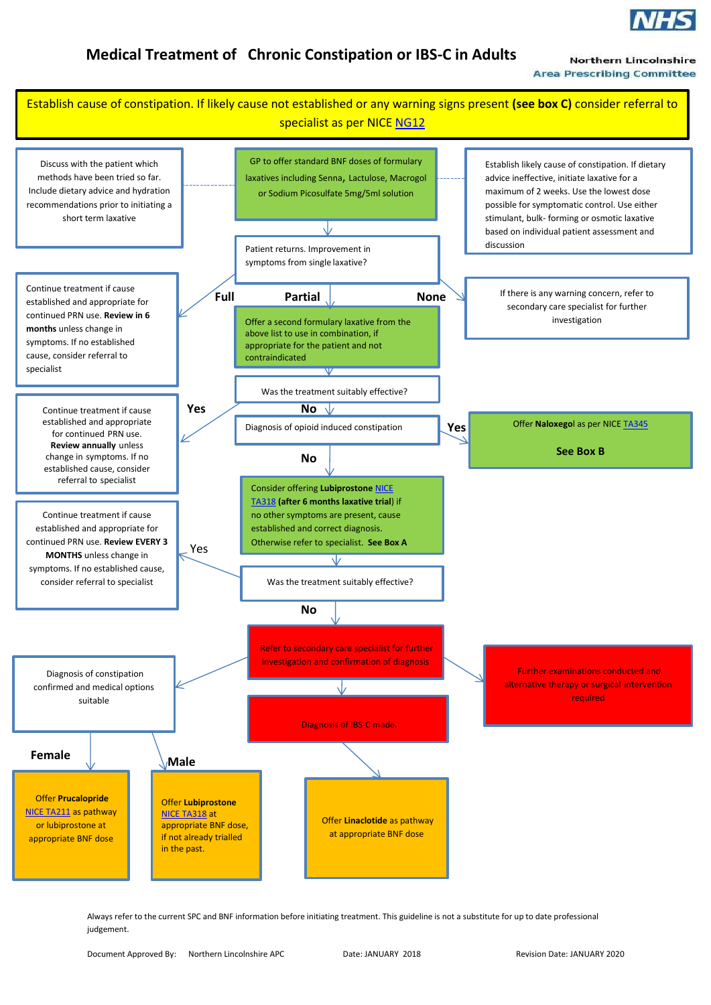

**Northern Lincolnshire Area Prescribing Committee** 

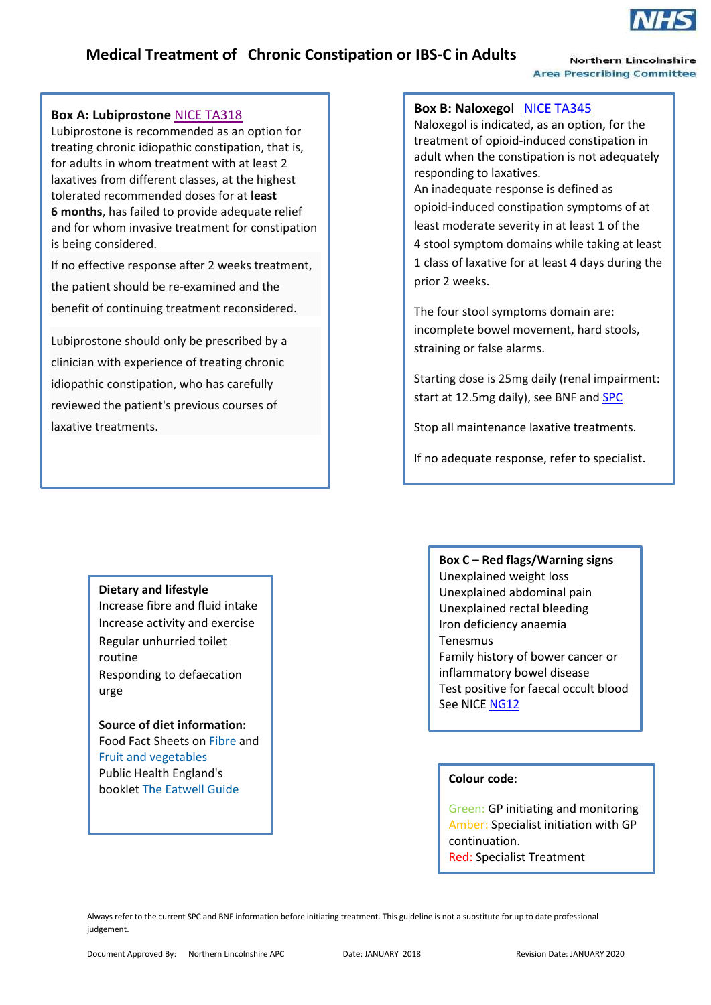

**Northern Lincolnshire Area Prescribing Committee** 

### **Box A: Lubiprostone** [NICE TA318](https://www.nice.org.uk/guidance/ta318)

j

Lubiprostone is recommended as an option for treating chronic idiopathic constipation, that is, for adults in whom treatment with at least 2 laxatives from different classes, at the highest tolerated recommended doses for at **least 6 months**, has failed to provide adequate relief and for whom invasive treatment for constipation is being considered.

If no effective response after 2 weeks treatment, the patient should be re-examined and the benefit of continuing treatment reconsidered.

Lubiprostone should only be prescribed by a clinician with experience of treating chronic idiopathic constipation, who has carefully reviewed the patient's previous courses of laxative treatments.

**Dietary and lifestyle**

routine

urge

Increase fibre and fluid intake Increase activity and exercise Regular unhurried toilet

Responding to defaecation

**Source of diet information:** Food Fact Sheets on [Fibre](https://www.bda.uk.com/foodfacts/fibrefoodfactsheet.pdf) and

[Fruit and vegetables](https://www.bda.uk.com/foodfacts/FruitVeg.pdf)  Public Health England's booklet [The Eatwell Guide](https://www.gov.uk/government/uploads/system/uploads/attachment_data/file/551502/Eatwell_Guide_booklet.pdf)

### **Box B: Naloxego**l [NICE TA345](https://www.nice.org.uk/guidance/ta345)

Naloxegol is indicated, as an option, for the treatment of opioid-induced constipation in adult when the constipation is not adequately responding to laxatives.

An inadequate response is defined as opioid-induced constipation symptoms of at least moderate severity in at least 1 of the 4 stool symptom domains while taking at least 1 class of laxative for at least 4 days during the prior 2 weeks.

The four stool symptoms domain are: incomplete bowel movement, hard stools, straining or false alarms.

Starting dose is 25mg daily (renal impairment: start at 12.5mg daily), see BNF an[d SPC](http://www.medicines.org.uk/emc/medicine/30483)

Stop all maintenance laxative treatments.

If no adequate response, refer to specialist.

**Box C – Red flags/Warning signs**

Unexplained weight loss Unexplained abdominal pain Unexplained rectal bleeding Iron deficiency anaemia Tenesmus Family history of bower cancer or

inflammatory bowel disease Test positive for faecal occult blood See NICE [NG12](https://www.nice.org.uk/guidance/ng12)

### **Colour code**:

continuation

Green: GP initiating and monitoring Amber: Specialist initiation with GP continuation. Red: Specialist Treatment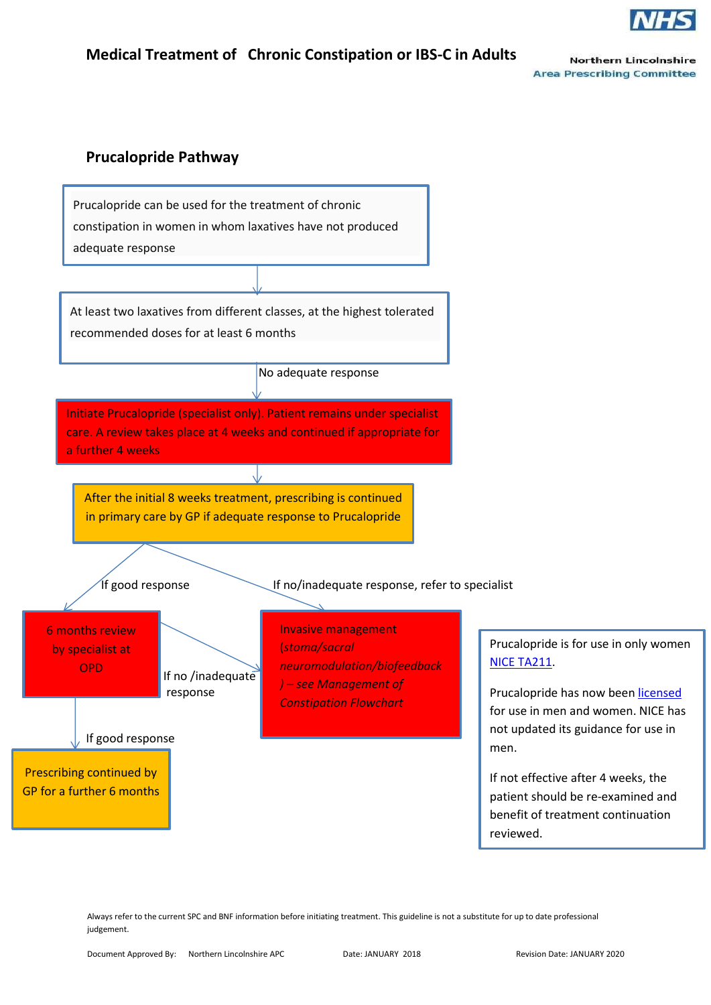

**Northern Lincolnshire Area Prescribing Committee** 

## **Prucalopride Pathway**

Prucalopride can be used for the treatment of chronic constipation in women in whom laxatives have not produced adequate response

At least two laxatives from different classes, at the highest tolerated recommended doses for at least 6 months

No adequate response

Initiate Prucalopride (specialist only). Patient remains under specialist care. A review takes place at 4 weeks and continued if appropriate for a further 4 weeks

After the initial 8 weeks treatment, prescribing is continued in primary care by GP if adequate response to Prucalopride

If good response  $\sim$  If no/inadequate response, refer to specialist

 by specialist at 6 months review OPD

i

 If no /inadequate response

If good response

Prescribing continued by GP for a further 6 months

i<br>Li

Invasive management (*stoma/sacral neuromodulation/biofeedback ) – see Management of Constipation Flowchart*

Prucalopride is for use in only women [NICE TA211.](https://www.nice.org.uk/guidance/ta211/chapter/1-Guidance)

Prucalopride has now bee[n licensed](https://www.medicinescomplete.com/mc/bnf/current/PHP668-prucalopride.htm?q=prucalopride&t=search&ss=text&tot=4&p=1#_hit) for use in men and women. NICE has not updated its guidance for use in men.

If not effective after 4 weeks, the patient should be re-examined and benefit of treatment continuation reviewed.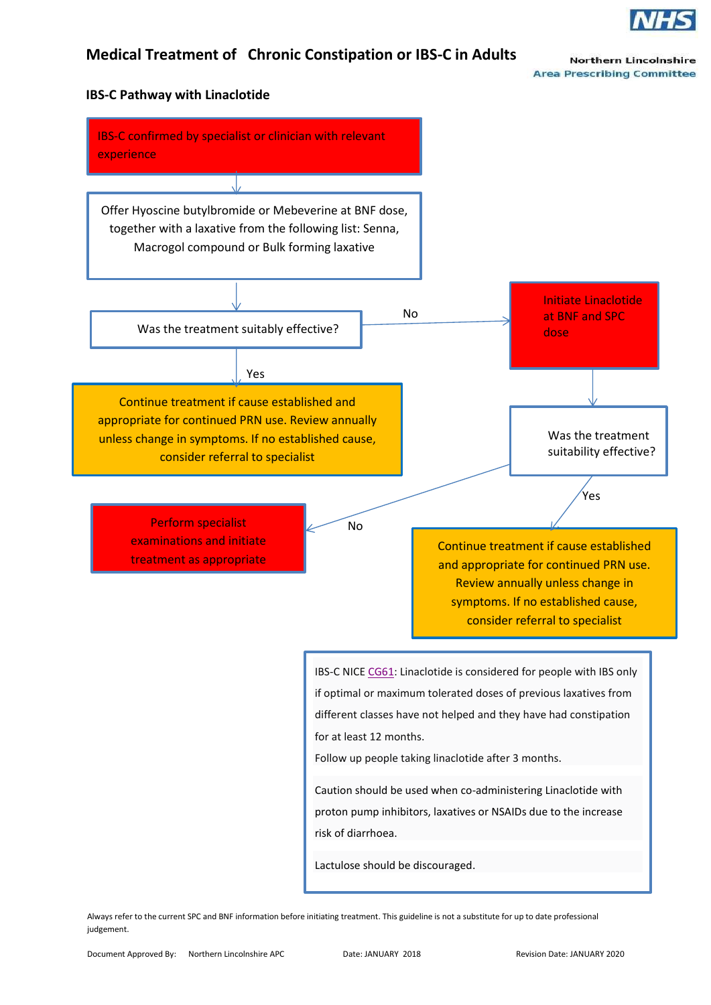

**Northern Lincolnshire Area Prescribing Committee** 

### **IBS-C Pathway with Linaclotide**